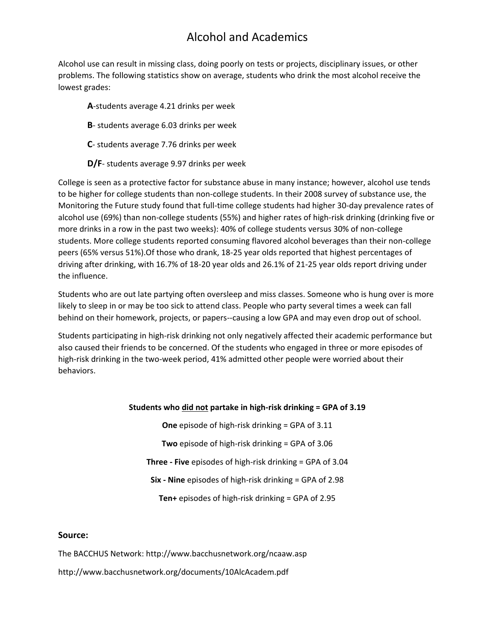## Alcohol and Academics

Alcohol use can result in missing class, doing poorly on tests or projects, disciplinary issues, or other problems. The following statistics show on average, students who drink the most alcohol receive the lowest grades:

- **A**-students average 4.21 drinks per week
- **B** students average 6.03 drinks per week
- **C** students average 7.76 drinks per week
- **D/F** students average 9.97 drinks per week

College is seen as a protective factor for substance abuse in many instance; however, alcohol use tends to be higher for college students than non-college students. In their 2008 survey of substance use, the Monitoring the Future study found that full-time college students had higher 30-day prevalence rates of alcohol use (69%) than non-college students (55%) and higher rates of high-risk drinking (drinking five or more drinks in a row in the past two weeks): 40% of college students versus 30% of non-college students. More college students reported consuming flavored alcohol beverages than their non-college peers (65% versus 51%).Of those who drank, 18-25 year olds reported that highest percentages of driving after drinking, with 16.7% of 18-20 year olds and 26.1% of 21-25 year olds report driving under the influence.

Students who are out late partying often oversleep and miss classes. Someone who is hung over is more likely to sleep in or may be too sick to attend class. People who party several times a week can fall behind on their homework, projects, or papers--causing a low GPA and may even drop out of school.

Students participating in high-risk drinking not only negatively affected their academic performance but also caused their friends to be concerned. Of the students who engaged in three or more episodes of high-risk drinking in the two-week period, 41% admitted other people were worried about their behaviors.

## **Students who did not partake in high-risk drinking = GPA of 3.19**

**One** episode of high-risk drinking = GPA of 3.11 **Two** episode of high-risk drinking = GPA of 3.06 **Three - Five** episodes of high-risk drinking = GPA of 3.04 **Six - Nine** episodes of high-risk drinking = GPA of 2.98 **Ten+** episodes of high-risk drinking = GPA of 2.95

## **Source:**

The BACCHUS Network: http://www.bacchusnetwork.org/ncaaw.asp

http://www.bacchusnetwork.org/documents/10AlcAcadem.pdf